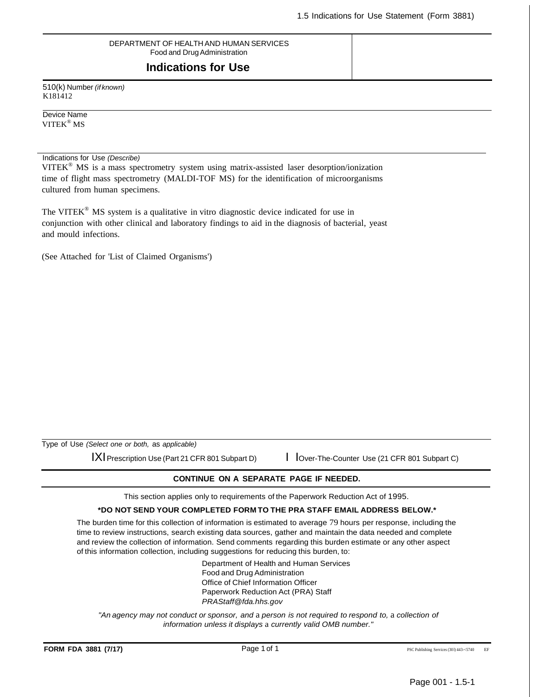#### DEPARTMENT OF HEALTH AND HUMAN SERVICES Food and DrugAdministration

### **Indications for Use**

510(k) Number *(if known)* K181412

Device Name VITEK® MS

Indications for Use *(Describe)*

VITEK<sup>®</sup> MS is a mass spectrometry system using matrix-assisted laser desorption/ionization time of flight mass spectrometry (MALDI-TOF MS) for the identification of microorganisms cultured from human specimens.

The VITEK® MS system is a qualitative in vitro diagnostic device indicated for use in conjunction with other clinical and laboratory findings to aid in the diagnosis of bacterial, yeast and mould infections.

(See Attached for 'List of Claimed Organisms')

Type of Use *(Select one or both,* as *applicable)*

IXI Prescription Use (Part 21 CFR 801 Subpart D) I Over-The-Counter Use (21 CFR 801 Subpart C)

#### **CONTINUE ON A SEPARATE PAGE IF NEEDED.**

This section applies only to requirements of the Paperwork Reduction Act of 1995.

#### **\*DO NOT SEND YOUR COMPLETED FORM TO THE PRA STAFF EMAIL ADDRESS BELOW.\***

The burden time for this collection of information is estimated to average 79 hours per response, including the time to review instructions, search existing data sources, gather and maintain the data needed and complete and review the collection of information. Send comments regarding this burden estimate or any other aspect of this information collection, including suggestions for reducing this burden, to:

> Department of Health and Human Services Food and Drug Administration Office of Chief Information Officer Paperwork Reduction Act (PRA) Staff *[PRAStaff@fda.hhs.gov](mailto:PRAStaff@fda.hhs.gov)*

*"An agency may not conduct or sponsor, and* a *person is not required to respond to,* a *collection of information unless it displays* a *currently valid OMB number."*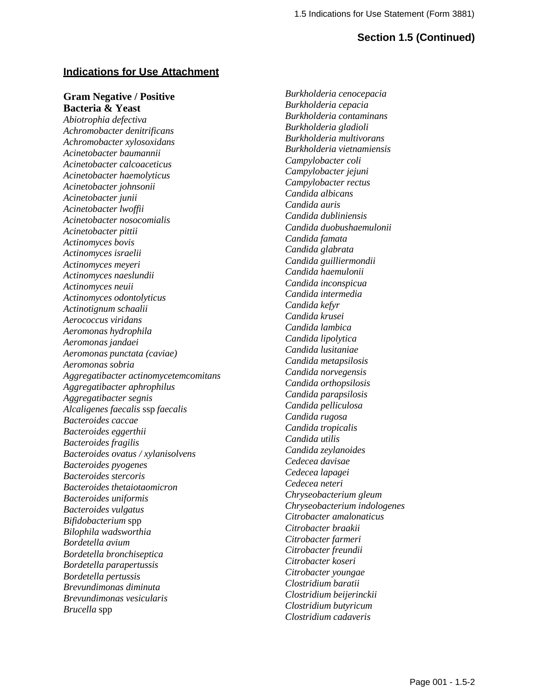### **Indications for Use Attachment**

### **Gram Negative / Positive Bacteria & Yeast**

*Abiotrophia defectiva Achromobacter denitrificans Achromobacter xylosoxidans Acinetobacter baumannii Acinetobacter calcoaceticus Acinetobacter haemolyticus Acinetobacter johnsonii Acinetobacter junii Acinetobacter lwoffii Acinetobacter nosocomialis Acinetobacter pittii Actinomyces bovis Actinomyces israelii Actinomyces meyeri Actinomyces naeslundii Actinomyces neuii Actinomyces odontolyticus Actinotignum schaalii Aerococcus viridans Aeromonas hydrophila Aeromonas jandaei Aeromonas punctata (caviae) Aeromonas sobria Aggregatibacter actinomycetemcomitans Aggregatibacter aphrophilus Aggregatibacter segnis Alcaligenes faecalis* ssp *faecalis Bacteroides caccae Bacteroides eggerthii Bacteroides fragilis Bacteroides ovatus / xylanisolvens Bacteroides pyogenes Bacteroides stercoris Bacteroides thetaiotaomicron Bacteroides uniformis Bacteroides vulgatus Bifidobacterium* spp *Bilophila wadsworthia Bordetella avium Bordetella bronchiseptica Bordetella parapertussis Bordetella pertussis Brevundimonas diminuta Brevundimonas vesicularis Brucella* spp

*Burkholderia cenocepacia Burkholderia cepacia Burkholderia contaminans Burkholderia gladioli Burkholderia multivorans Burkholderia vietnamiensis Campylobacter coli Campylobacter jejuni Campylobacter rectus Candida albicans Candida auris Candida dubliniensis Candida duobushaemulonii Candida famata Candida glabrata Candida guilliermondii Candida haemulonii Candida inconspicua Candida intermedia Candida kefyr Candida krusei Candida lambica Candida lipolytica Candida lusitaniae Candida metapsilosis Candida norvegensis Candida orthopsilosis Candida parapsilosis Candida pelliculosa Candida rugosa Candida tropicalis Candida utilis Candida zeylanoides Cedecea davisae Cedecea lapagei Cedecea neteri Chryseobacterium gleum Chryseobacterium indologenes Citrobacter amalonaticus Citrobacter braakii Citrobacter farmeri Citrobacter freundii Citrobacter koseri Citrobacter youngae Clostridium baratii Clostridium beijerinckii Clostridium butyricum Clostridium cadaveris*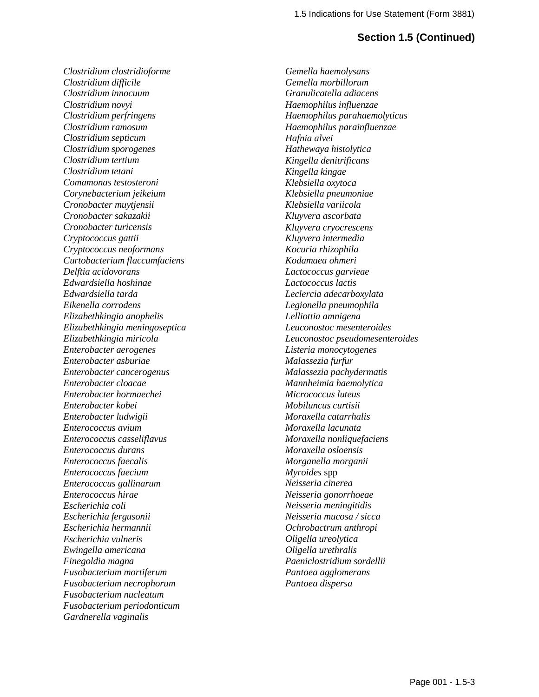*Clostridium clostridioforme Clostridium difficile Clostridium innocuum Clostridium novyi Clostridium perfringens Clostridium ramosum Clostridium septicum Clostridium sporogenes Clostridium tertium Clostridium tetani Comamonas testosteroni Corynebacterium jeikeium Cronobacter muytjensii Cronobacter sakazakii Cronobacter turicensis Cryptococcus gattii Cryptococcus neoformans Curtobacterium flaccumfaciens Delftia acidovorans Edwardsiella hoshinae Edwardsiella tarda Eikenella corrodens Elizabethkingia anophelis Elizabethkingia meningoseptica Elizabethkingia miricola Enterobacter aerogenes Enterobacter asburiae Enterobacter cancerogenus Enterobacter cloacae Enterobacter hormaechei Enterobacter kobei Enterobacter ludwigii Enterococcus avium Enterococcus casseliflavus Enterococcus durans Enterococcus faecalis Enterococcus faecium Enterococcus gallinarum Enterococcus hirae Escherichia coli Escherichia fergusonii Escherichia hermannii Escherichia vulneris Ewingella americana Finegoldia magna Fusobacterium mortiferum Fusobacterium necrophorum Fusobacterium nucleatum Fusobacterium periodonticum Gardnerella vaginalis*

*Gemella haemolysans Gemella morbillorum Granulicatella adiacens Haemophilus influenzae Haemophilus parahaemolyticus Haemophilus parainfluenzae Hafnia alvei Hathewaya histolytica Kingella denitrificans Kingella kingae Klebsiella oxytoca Klebsiella pneumoniae Klebsiella variicola Kluyvera ascorbata Kluyvera cryocrescens Kluyvera intermedia Kocuria rhizophila Kodamaea ohmeri Lactococcus garvieae Lactococcus lactis Leclercia adecarboxylata Legionella pneumophila Lelliottia amnigena Leuconostoc mesenteroides Leuconostoc pseudomesenteroides Listeria monocytogenes Malassezia furfur Malassezia pachydermatis Mannheimia haemolytica Micrococcus luteus Mobiluncus curtisii Moraxella catarrhalis Moraxella lacunata Moraxella nonliquefaciens Moraxella osloensis Morganella morganii Myroides* spp *Neisseria cinerea Neisseria gonorrhoeae Neisseria meningitidis Neisseria mucosa / sicca Ochrobactrum anthropi Oligella ureolytica Oligella urethralis Paeniclostridium sordellii Pantoea agglomerans Pantoea dispersa*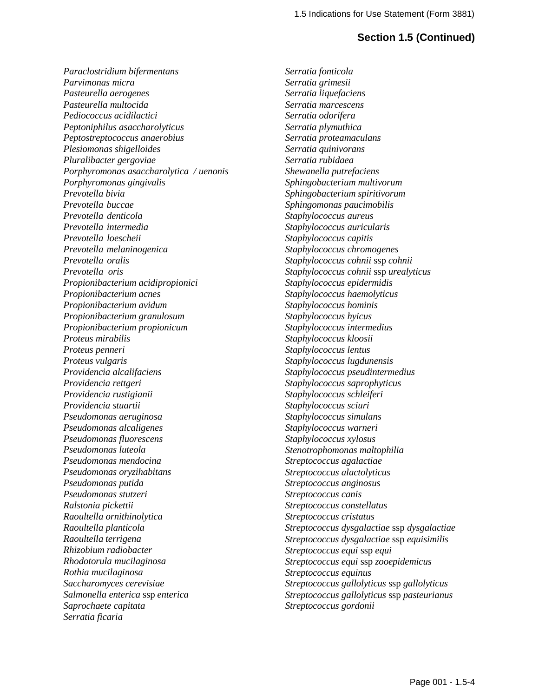*Paraclostridium bifermentans Parvimonas micra Pasteurella aerogenes Pasteurella multocida Pediococcus acidilactici Peptoniphilus asaccharolyticus Peptostreptococcus anaerobius Plesiomonas shigelloides Pluralibacter gergoviae Porphyromonas asaccharolytica / uenonis Porphyromonas gingivalis Prevotella bivia Prevotella buccae Prevotella denticola Prevotella intermedia Prevotella loescheii Prevotella melaninogenica Prevotella oralis Prevotella oris Propionibacterium acidipropionici Propionibacterium acnes Propionibacterium avidum Propionibacterium granulosum Propionibacterium propionicum Proteus mirabilis Proteus penneri Proteus vulgaris Providencia alcalifaciens Providencia rettgeri Providencia rustigianii Providencia stuartii Pseudomonas aeruginosa Pseudomonas alcaligenes Pseudomonas fluorescens Pseudomonas luteola Pseudomonas mendocina Pseudomonas oryzihabitans Pseudomonas putida Pseudomonas stutzeri Ralstonia pickettii Raoultella ornithinolytica Raoultella planticola Raoultella terrigena Rhizobium radiobacter Rhodotorula mucilaginosa Rothia mucilaginosa Saccharomyces cerevisiae Salmonella enterica* ssp *enterica Saprochaete capitata Serratia ficaria*

*Serratia fonticola Serratia grimesii Serratia liquefaciens Serratia marcescens Serratia odorifera Serratia plymuthica Serratia proteamaculans Serratia quinivorans Serratia rubidaea Shewanella putrefaciens Sphingobacterium multivorum Sphingobacterium spiritivorum Sphingomonas paucimobilis Staphylococcus aureus Staphylococcus auricularis Staphylococcus capitis Staphylococcus chromogenes Staphylococcus cohnii* ssp *cohnii Staphylococcus cohnii* ssp *urealyticus Staphylococcus epidermidis Staphylococcus haemolyticus Staphylococcus hominis Staphylococcus hyicus Staphylococcus intermedius Staphylococcus kloosii Staphylococcus lentus Staphylococcus lugdunensis Staphylococcus pseudintermedius Staphylococcus saprophyticus Staphylococcus schleiferi Staphylococcus sciuri Staphylococcus simulans Staphylococcus warneri Staphylococcus xylosus Stenotrophomonas maltophilia Streptococcus agalactiae Streptococcus alactolyticus Streptococcus anginosus Streptococcus canis Streptococcus constellatus Streptococcus cristatus Streptococcus dysgalactiae* ssp *dysgalactiae Streptococcus dysgalactiae* ssp *equisimilis Streptococcus equi* ssp *equi Streptococcus equi* ssp *zooepidemicus Streptococcus equinus Streptococcus gallolyticus* ssp *gallolyticus Streptococcus gallolyticus* ssp *pasteurianus Streptococcus gordonii*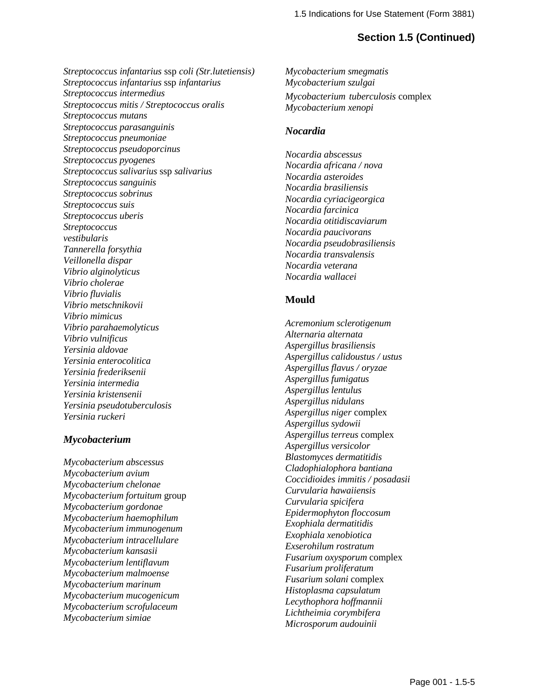*Streptococcus infantarius* ssp *coli (Str.lutetiensis) Streptococcus infantarius* ssp *infantarius Streptococcus intermedius Streptococcus mitis / Streptococcus oralis Streptococcus mutans Streptococcus parasanguinis Streptococcus pneumoniae Streptococcus pseudoporcinus Streptococcus pyogenes Streptococcus salivarius* ssp *salivarius Streptococcus sanguinis Streptococcus sobrinus Streptococcus suis Streptococcus uberis Streptococcus vestibularis Tannerella forsythia Veillonella dispar Vibrio alginolyticus Vibrio cholerae Vibrio fluvialis Vibrio metschnikovii Vibrio mimicus Vibrio parahaemolyticus Vibrio vulnificus Yersinia aldovae Yersinia enterocolitica Yersinia frederiksenii Yersinia intermedia Yersinia kristensenii Yersinia pseudotuberculosis Yersinia ruckeri*

#### *Mycobacterium*

*Mycobacterium abscessus Mycobacterium avium Mycobacterium chelonae Mycobacterium fortuitum* group *Mycobacterium gordonae Mycobacterium haemophilum Mycobacterium immunogenum Mycobacterium intracellulare Mycobacterium kansasii Mycobacterium lentiflavum Mycobacterium malmoense Mycobacterium marinum Mycobacterium mucogenicum Mycobacterium scrofulaceum Mycobacterium simiae*

*Mycobacterium smegmatis Mycobacterium szulgai Mycobacterium tuberculosis* complex *Mycobacterium xenopi*

### *Nocardia*

*Nocardia abscessus Nocardia africana / nova Nocardia asteroides Nocardia brasiliensis Nocardia cyriacigeorgica Nocardia farcinica Nocardia otitidiscaviarum Nocardia paucivorans Nocardia pseudobrasiliensis Nocardia transvalensis Nocardia veterana Nocardia wallacei*

### **Mould**

*Acremonium sclerotigenum Alternaria alternata Aspergillus brasiliensis Aspergillus calidoustus / ustus Aspergillus flavus / oryzae Aspergillus fumigatus Aspergillus lentulus Aspergillus nidulans Aspergillus niger* complex *Aspergillus sydowii Aspergillus terreus* complex *Aspergillus versicolor Blastomyces dermatitidis Cladophialophora bantiana Coccidioides immitis / posadasii Curvularia hawaiiensis Curvularia spicifera Epidermophyton floccosum Exophiala dermatitidis Exophiala xenobiotica Exserohilum rostratum Fusarium oxysporum* complex *Fusarium proliferatum Fusarium solani* complex *Histoplasma capsulatum Lecythophora hoffmannii Lichtheimia corymbifera Microsporum audouinii*